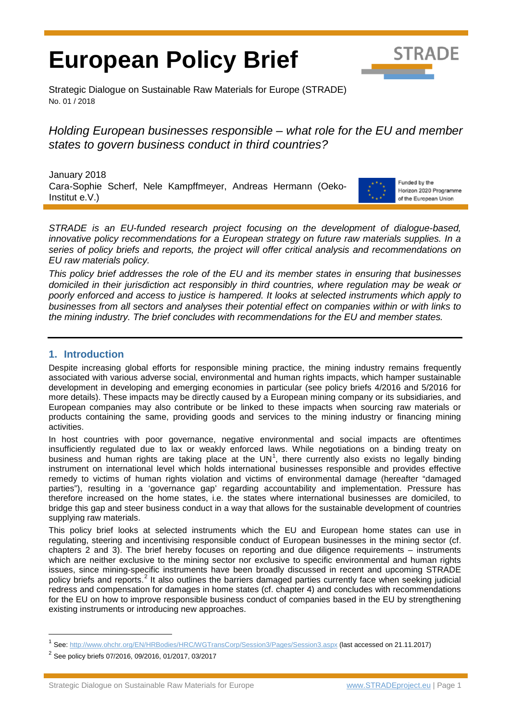# **European Policy Brief**



Strategic Dialogue on Sustainable Raw Materials for Europe (STRADE) No. 01 / 2018

# *Holding European businesses responsible – what role for the EU and member states to govern business conduct in third countries?*

January 2018 Cara-Sophie Scherf, Nele Kampffmeyer, Andreas Hermann (Oeko-Institut e.V.)



Funded by the Horizon 2020 Programme of the European Union

*STRADE is an EU-funded research project focusing on the development of dialogue-based,*  innovative policy recommendations for a European strategy on future raw materials supplies. In a *series of policy briefs and reports, the project will offer critical analysis and recommendations on EU raw materials policy.*

*This policy brief addresses the role of the EU and its member states in ensuring that businesses domiciled in their jurisdiction act responsibly in third countries, where regulation may be weak or poorly enforced and access to justice is hampered. It looks at selected instruments which apply to businesses from all sectors and analyses their potential effect on companies within or with links to the mining industry. The brief concludes with recommendations for the EU and member states.*

# **1. Introduction**

Despite increasing global efforts for responsible mining practice, the mining industry remains frequently associated with various adverse social, environmental and human rights impacts, which hamper sustainable development in developing and emerging economies in particular (see policy briefs 4/2016 and 5/2016 for more details). These impacts may be directly caused by a European mining company or its subsidiaries, and European companies may also contribute or be linked to these impacts when sourcing raw materials or products containing the same, providing goods and services to the mining industry or financing mining activities.

In host countries with poor governance, negative environmental and social impacts are oftentimes insufficiently regulated due to lax or weakly enforced laws. While negotiations on a binding treaty on business and human rights are taking place at the UN<sup>[1](#page-0-0)</sup>, there currently also exists no legally binding instrument on international level which holds international businesses responsible and provides effective remedy to victims of human rights violation and victims of environmental damage (hereafter "damaged parties"), resulting in a 'governance gap' regarding accountability and implementation. Pressure has therefore increased on the home states, i.e. the states where international businesses are domiciled, to bridge this gap and steer business conduct in a way that allows for the sustainable development of countries supplying raw materials.

This policy brief looks at selected instruments which the EU and European home states can use in regulating, steering and incentivising responsible conduct of European businesses in the mining sector (cf. chapters 2 and 3). The brief hereby focuses on reporting and due diligence requirements – instruments which are neither exclusive to the mining sector nor exclusive to specific environmental and human rights issues, since mining-specific instruments have been broadly discussed in recent and upcoming STRADE policy briefs and reports.<sup>[2](#page-0-1)</sup> It also outlines the barriers damaged parties currently face when seeking judicial redress and compensation for damages in home states (cf. chapter 4) and concludes with recommendations for the EU on how to improve responsible business conduct of companies based in the EU by strengthening existing instruments or introducing new approaches.

<span id="page-0-0"></span> <sup>1</sup> See[: http://www.ohchr.org/EN/HRBodies/HRC/WGTransCorp/Session3/Pages/Session3.aspx](http://www.ohchr.org/EN/HRBodies/HRC/WGTransCorp/Session3/Pages/Session3.aspx) (last accessed on 21.11.2017)

<span id="page-0-1"></span> $2^{2}$  See policy briefs 07/2016, 09/2016, 01/2017, 03/2017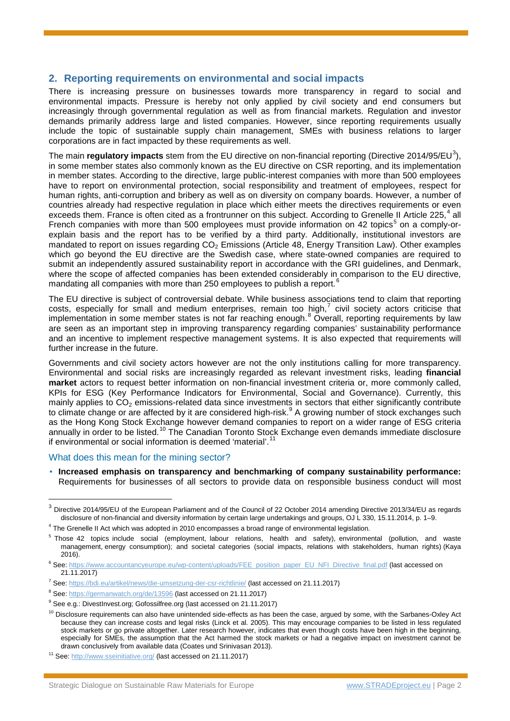# **2. Reporting requirements on environmental and social impacts**

There is increasing pressure on businesses towards more transparency in regard to social and environmental impacts. Pressure is hereby not only applied by civil society and end consumers but increasingly through governmental regulation as well as from financial markets. Regulation and investor demands primarily address large and listed companies. However, since reporting requirements usually include the topic of sustainable supply chain management, SMEs with business relations to larger corporations are in fact impacted by these requirements as well.

The main **regulatory impacts** stem from the EU directive on non-financial reporting (Directive 2014/95/EU<sup>[3](#page-1-0)</sup>), in some member states also commonly known as the EU directive on CSR reporting, and its implementation in member states. According to the directive, large public-interest companies with more than 500 employees have to report on environmental protection, social responsibility and treatment of employees, respect for human rights, anti-corruption and bribery as well as on diversity on company boards. However, a number of countries already had respective regulation in place which either meets the directives requirements or even exceeds them. France is often cited as a frontrunner on this subject. According to Grenelle II Article 225,<sup>[4](#page-1-1)</sup> all French companies with more than [5](#page-1-2)00 employees must provide information on 42 topics<sup>5</sup> on a comply-orexplain basis and the report has to be verified by a third party. Additionally, institutional investors are mandated to report on issues regarding  $CO<sub>2</sub>$  Emissions (Article 48, Energy Transition Law). Other examples which go beyond the EU directive are the Swedish case, where state-owned companies are required to submit an independently assured sustainability report in accordance with the GRI guidelines, and Denmark, where the scope of affected companies has been extended considerably in comparison to the EU directive, mandating all companies with more than 250 employees to publish a report.<sup>[6](#page-1-3)</sup>

The EU directive is subject of controversial debate. While business associations tend to claim that reporting costs, especially for small and medium enterprises, remain too high, $<sup>7</sup>$  $<sup>7</sup>$  $<sup>7</sup>$  civil society actors criticise that</sup> implementation in some member states is not far reaching enough.<sup>[8](#page-1-5)</sup> Overall, reporting requirements by law are seen as an important step in improving transparency regarding companies' sustainability performance and an incentive to implement respective management systems. It is also expected that requirements will further increase in the future.

Governments and civil society actors however are not the only institutions calling for more transparency. Environmental and social risks are increasingly regarded as relevant investment risks, leading **financial market** actors to request better information on non-financial investment criteria or, more commonly called, KPIs for ESG (Key Performance Indicators for Environmental, Social and Governance). Currently, this mainly applies to  $CO<sub>2</sub>$  emissions-related data since investments in sectors that either significantly contribute to climate change or are affected by it are considered high-risk.<sup>[9](#page-1-6)</sup> A growing number of stock exchanges such as the Hong Kong Stock Exchange however demand companies to report on a wider range of ESG criteria annually in order to be listed.[10](#page-1-7) The Canadian Toronto Stock Exchange even demands immediate disclosure if environmental or social information is deemed 'material'.<sup>11</sup>

#### What does this mean for the mining sector?

**Increased emphasis on transparency and benchmarking of company sustainability performance:** Requirements for businesses of all sectors to provide data on responsible business conduct will most

<span id="page-1-0"></span><sup>&</sup>lt;sup>3</sup> Directive 2014/95/EU of the European Parliament and of the Council of 22 October 2014 amending Directive 2013/34/EU as regards disclosure of non-financial and diversity information by certain large undertakings and groups, OJ L 330, 15.11.2014, p. 1–9.

<span id="page-1-1"></span><sup>&</sup>lt;sup>4</sup> The Grenelle II Act which was adopted in 2010 encompasses a broad range of environmental legislation.

<span id="page-1-2"></span><sup>&</sup>lt;sup>5</sup> Those 42 topics include social (employment, labour relations, health and safety), environmental (pollution, and waste management, energy consumption); and societal categories (social impacts, relations with stakeholders, human rights) (Kaya 2016).

<span id="page-1-3"></span><sup>6</sup> See[: https://www.accountancyeurope.eu/wp-content/uploads/FEE\\_position\\_paper\\_EU\\_NFI\\_Directive\\_final.pdf](https://www.accountancyeurope.eu/wp-content/uploads/FEE_position_paper_EU_NFI_Directive_final.pdf) (last accessed on 21.11.2017)

<span id="page-1-4"></span><sup>7</sup> See[: https://bdi.eu/artikel/news/die-umsetzung-der-csr-richtlinie/](https://bdi.eu/artikel/news/die-umsetzung-der-csr-richtlinie/) (last accessed on 21.11.2017)

<span id="page-1-5"></span><sup>&</sup>lt;sup>8</sup> See[: https://germanwatch.org/de/13596](https://germanwatch.org/de/13596) (last accessed on 21.11.2017)

<span id="page-1-6"></span><sup>&</sup>lt;sup>9</sup> See e.g.: DivestInvest.org; Gofossilfree.org (last accessed on 21.11.2017)

<span id="page-1-7"></span><sup>&</sup>lt;sup>10</sup> Disclosure requirements can also have unintended side-effects as has been the case, argued by some, with the Sarbanes-Oxley Act because they can increase costs and legal risks (Linck et al. 2005). This may encourage companies to be listed in less regulated stock markets or go private altogether. Later research however, indicates that even though costs have been high in the beginning, especially for SMEs, the assumption that the Act harmed the stock markets or had a negative impact on investment cannot be drawn conclusively from available data (Coates und Srinivasan 2013).

<span id="page-1-8"></span><sup>11</sup> See[: http://www.sseinitiative.org/](http://www.sseinitiative.org/) (last accessed on 21.11.2017)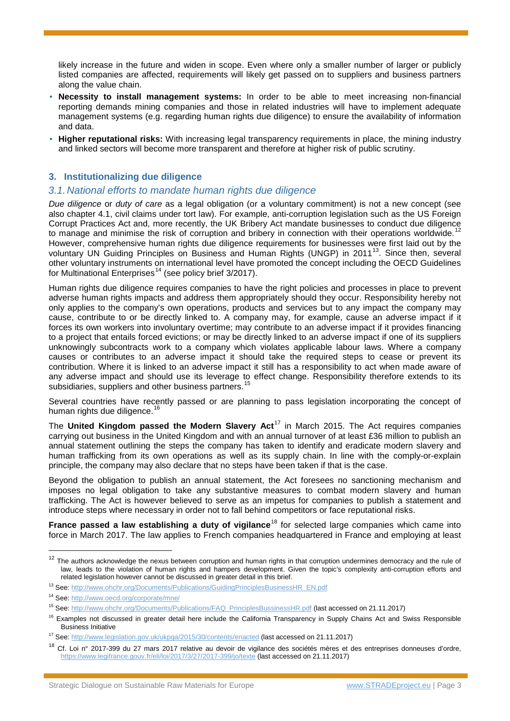likely increase in the future and widen in scope. Even where only a smaller number of larger or publicly listed companies are affected, requirements will likely get passed on to suppliers and business partners along the value chain.

- **Necessity to install management systems:** In order to be able to meet increasing non-financial reporting demands mining companies and those in related industries will have to implement adequate management systems (e.g. regarding human rights due diligence) to ensure the availability of information and data.
- **Higher reputational risks:** With increasing legal transparency requirements in place, the mining industry and linked sectors will become more transparent and therefore at higher risk of public scrutiny.

# **3. Institutionalizing due diligence**

#### *3.1.National efforts to mandate human rights due diligence*

*Due diligence* or *duty of care* as a legal obligation (or a voluntary commitment) is not a new concept (see also chapter 4.1, civil claims under tort law). For example, anti-corruption legislation such as the US Foreign Corrupt Practices Act and, more recently, the UK Bribery Act mandate businesses to conduct due diligence to manage and minimise the risk of corruption and bribery in connection with their operations worldwide.<sup>[12](#page-2-0)</sup> However, comprehensive human rights due diligence requirements for businesses were first laid out by the voluntary UN Guiding Principles on Business and Human Rights (UNGP) in 2011<sup>[13](#page-2-1)</sup>. Since then, several other voluntary instruments on international level have promoted the concept including the OECD Guidelines for Multinational Enterprises<sup>[14](#page-2-2)</sup> (see policy brief 3/2017).

Human rights due diligence requires companies to have the right policies and processes in place to prevent adverse human rights impacts and address them appropriately should they occur. Responsibility hereby not only applies to the company's own operations, products and services but to any impact the company may cause, contribute to or be directly linked to. A company may, for example, cause an adverse impact if it forces its own workers into involuntary overtime; may contribute to an adverse impact if it provides financing to a project that entails forced evictions; or may be directly linked to an adverse impact if one of its suppliers unknowingly subcontracts work to a company which violates applicable labour laws. Where a company causes or contributes to an adverse impact it should take the required steps to cease or prevent its contribution. Where it is linked to an adverse impact it still has a responsibility to act when made aware of any adverse impact and should use its leverage to effect change. Responsibility therefore extends to its subsidiaries, suppliers and other business partners.<sup>[15](#page-2-3)</sup>

Several countries have recently passed or are planning to pass legislation incorporating the concept of human rights due diligence.<sup>[16](#page-2-4)</sup>

The **United Kingdom passed the Modern Slavery Act**[17](#page-2-5) in March 2015. The Act requires companies carrying out business in the United Kingdom and with an annual turnover of at least £36 million to publish an annual statement outlining the steps the company has taken to identify and eradicate modern slavery and human trafficking from its own operations as well as its supply chain. In line with the comply-or-explain principle, the company may also declare that no steps have been taken if that is the case.

Beyond the obligation to publish an annual statement, the Act foresees no sanctioning mechanism and imposes no legal obligation to take any substantive measures to combat modern slavery and human trafficking. The Act is however believed to serve as an impetus for companies to publish a statement and introduce steps where necessary in order not to fall behind competitors or face reputational risks.

**France passed a law establishing a duty of vigilance<sup>[18](#page-2-6)</sup> for selected large companies which came into** force in March 2017. The law applies to French companies headquartered in France and employing at least

<span id="page-2-0"></span> $12$  The authors acknowledge the nexus between corruption and human rights in that corruption undermines democracy and the rule of law, leads to the violation of human rights and hampers development. Given the topic's complexity anti-corruption efforts and related legislation however cannot be discussed in greater detail in this brief.

<span id="page-2-1"></span><sup>13</sup> See[: http://www.ohchr.org/Documents/Publications/GuidingPrinciplesBusinessHR\\_EN.pdf](http://www.ohchr.org/Documents/Publications/GuidingPrinciplesBusinessHR_EN.pdf)

<span id="page-2-2"></span><sup>14</sup> See[: http://www.oecd.org/corporate/mne/](http://www.oecd.org/corporate/mne/)

<span id="page-2-3"></span><sup>15</sup> See[: http://www.ohchr.org/Documents/Publications/FAQ\\_PrinciplesBussinessHR.pdf](http://www.ohchr.org/Documents/Publications/FAQ_PrinciplesBussinessHR.pdf) (last accessed on 21.11.2017)

<span id="page-2-4"></span><sup>&</sup>lt;sup>16</sup> Examples not discussed in greater detail here include the California Transparency in Supply Chains Act and Swiss Responsible Business Initiative

<span id="page-2-5"></span><sup>17</sup> See[: http://www.legislation.gov.uk/ukpga/2015/30/contents/enacted](http://www.legislation.gov.uk/ukpga/2015/30/contents/enacted) (last accessed on 21.11.2017)

<span id="page-2-6"></span><sup>18</sup> Cf. Loi nº 2017-399 du 27 mars 2017 relative au devoir de vigilance des sociétés mères et des entreprises donneuses d'ordre, <https://www.legifrance.gouv.fr/eli/loi/2017/3/27/2017-399/jo/texte> (last accessed on 21.11.2017)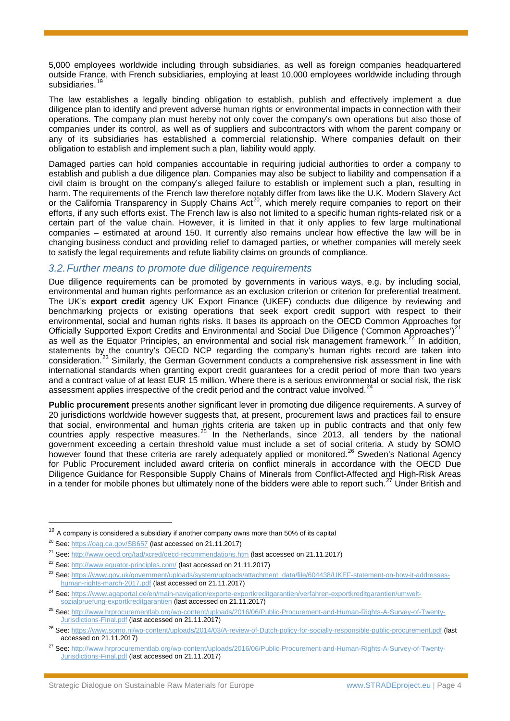5,000 employees worldwide including through subsidiaries, as well as foreign companies headquartered outside France, with French subsidiaries, employing at least 10,000 employees worldwide including through subsidiaries.<sup>[19](#page-3-0)</sup>

The law establishes a legally binding obligation to establish, publish and effectively implement a due diligence plan to identify and prevent adverse human rights or environmental impacts in connection with their operations. The company plan must hereby not only cover the company's own operations but also those of companies under its control, as well as of suppliers and subcontractors with whom the parent company or any of its subsidiaries has established a commercial relationship. Where companies default on their obligation to establish and implement such a plan, liability would apply.

Damaged parties can hold companies accountable in requiring judicial authorities to order a company to establish and publish a due diligence plan. Companies may also be subject to liability and compensation if a civil claim is brought on the company's alleged failure to establish or implement such a plan, resulting in harm. The requirements of the French law therefore notably differ from laws like the U.K. Modern Slavery Act or the California Transparency in Supply Chains Act<sup>[20](#page-3-1)</sup>, which merely require companies to report on their efforts, if any such efforts exist. The French law is also not limited to a specific human rights-related risk or a certain part of the value chain. However, it is limited in that it only applies to few large multinational companies – estimated at around 150. It currently also remains unclear how effective the law will be in changing business conduct and providing relief to damaged parties, or whether companies will merely seek to satisfy the legal requirements and refute liability claims on grounds of compliance.

#### *3.2.Further means to promote due diligence requirements*

Due diligence requirements can be promoted by governments in various ways, e.g. by including social, environmental and human rights performance as an exclusion criterion or criterion for preferential treatment. The UK's **export credit** agency UK Export Finance (UKEF) conducts due diligence by reviewing and benchmarking projects or existing operations that seek export credit support with respect to their environmental, social and human rights risks. It bases its approach on the OECD Common Approaches for Officially Supported Export Credits and Environmental and Social Due Diligence ('Common Approaches')<sup>[21](#page-3-2)</sup> as well as the Equator Principles, an environmental and social risk management framework.<sup>[22](#page-3-3)</sup> In addition, statements by the country's OECD NCP regarding the company's human rights record are taken into consideration.[23](#page-3-4) Similarly, the German Government conducts a comprehensive risk assessment in line with international standards when granting export credit guarantees for a credit period of more than two years and a contract value of at least EUR 15 million. Where there is a serious environmental or social risk, the risk assessment applies irrespective of the credit period and the contract value involved.<sup>[24](#page-3-5)</sup>

**Public procurement** presents another significant lever in promoting due diligence requirements. A survey of 20 jurisdictions worldwide however suggests that, at present, procurement laws and practices fail to ensure that social, environmental and human rights criteria are taken up in public contracts and that only few countries apply respective measures.<sup>[25](#page-3-6)</sup> In the Netherlands, since 2013, all tenders by the national government exceeding a certain threshold value must include a set of social criteria. A study by SOMO however found that these criteria are rarely adequately applied or monitored.<sup>[26](#page-3-7)</sup> Sweden's National Agency for Public Procurement included award criteria on conflict minerals in accordance with the OECD Due Diligence Guidance for Responsible Supply Chains of Minerals from Conflict-Affected and High-Risk Areas in a tender for mobile phones but ultimately none of the bidders were able to report such.<sup>[27](#page-3-8)</sup> Under British and

<span id="page-3-0"></span> $19$  A company is considered a subsidiary if another company owns more than 50% of its capital

<span id="page-3-1"></span><sup>20</sup> See[: https://oag.ca.gov/SB657](https://oag.ca.gov/SB657) (last accessed on 21.11.2017)

<span id="page-3-2"></span><sup>&</sup>lt;sup>21</sup> See[: http://www.oecd.org/tad/xcred/oecd-recommendations.htm](http://www.oecd.org/tad/xcred/oecd-recommendations.htm) (last accessed on 21.11.2017)

<span id="page-3-3"></span><sup>&</sup>lt;sup>22</sup> See[: http://www.equator-principles.com/](http://www.equator-principles.com/) (last accessed on 21.11.2017)

<span id="page-3-4"></span><sup>&</sup>lt;sup>23</sup> See[: https://www.gov.uk/government/uploads/system/uploads/attachment\\_data/file/604438/UKEF-statement-on-how-it-addresses](https://www.gov.uk/government/uploads/system/uploads/attachment_data/file/604438/UKEF-statement-on-how-it-addresses-human-rights-march-2017.pdf)[human-rights-march-2017.pdf](https://www.gov.uk/government/uploads/system/uploads/attachment_data/file/604438/UKEF-statement-on-how-it-addresses-human-rights-march-2017.pdf) (last accessed on 21.11.2017)

<span id="page-3-5"></span><sup>&</sup>lt;sup>24</sup> See[: https://www.agaportal.de/en/main-navigation/exporte-exportkreditgarantien/verfahren-exportkreditgarantien/umwelt](https://www.agaportal.de/en/main-navigation/exporte-exportkreditgarantien/verfahren-exportkreditgarantien/umwelt-sozialpruefung-exportkreditgarantien)[sozialpruefung-exportkreditgarantien](https://www.agaportal.de/en/main-navigation/exporte-exportkreditgarantien/verfahren-exportkreditgarantien/umwelt-sozialpruefung-exportkreditgarantien) (last accessed on 21.11.2017)

<span id="page-3-6"></span><sup>25</sup> See[: http://www.hrprocurementlab.org/wp-content/uploads/2016/06/Public-Procurement-and-Human-Rights-A-Survey-of-Twenty-](http://www.hrprocurementlab.org/wp-content/uploads/2016/06/Public-Procurement-and-Human-Rights-A-Survey-of-Twenty-Jurisdictions-Final.pdf)[Jurisdictions-Final.pdf](http://www.hrprocurementlab.org/wp-content/uploads/2016/06/Public-Procurement-and-Human-Rights-A-Survey-of-Twenty-Jurisdictions-Final.pdf) (last accessed on 21.11.2017)

<span id="page-3-7"></span><sup>&</sup>lt;sup>26</sup> See[: https://www.somo.nl/wp-content/uploads/2014/03/A-review-of-Dutch-policy-for-socially-responsible-public-procurement.pdf](https://www.somo.nl/wp-content/uploads/2014/03/A-review-of-Dutch-policy-for-socially-responsible-public-procurement.pdf) (last accessed on 21.11.2017)

<span id="page-3-8"></span><sup>&</sup>lt;sup>27</sup> See[: http://www.hrprocurementlab.org/wp-content/uploads/2016/06/Public-Procurement-and-Human-Rights-A-Survey-of-Twenty-](http://www.hrprocurementlab.org/wp-content/uploads/2016/06/Public-Procurement-and-Human-Rights-A-Survey-of-Twenty-Jurisdictions-Final.pdf)[Jurisdictions-Final.pdf](http://www.hrprocurementlab.org/wp-content/uploads/2016/06/Public-Procurement-and-Human-Rights-A-Survey-of-Twenty-Jurisdictions-Final.pdf) (last accessed on 21.11.2017)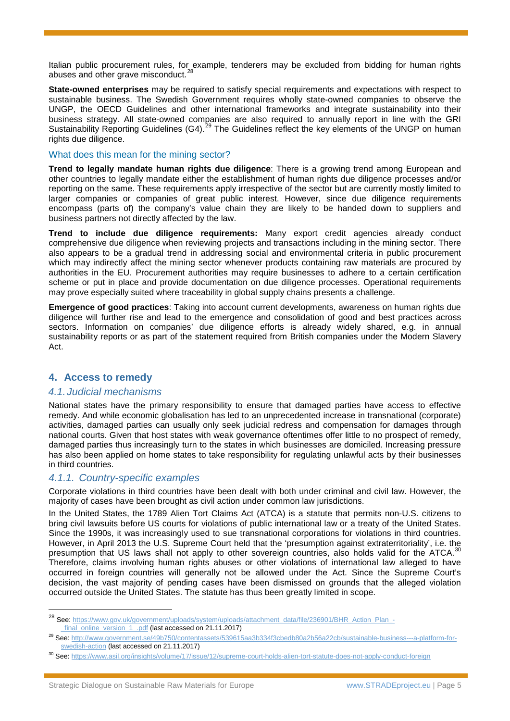Italian public procurement rules, for example, tenderers may be excluded from bidding for human rights abuses and other grave misconduct.<sup>2</sup>

**State-owned enterprises** may be required to satisfy special requirements and expectations with respect to sustainable business. The Swedish Government requires wholly state-owned companies to observe the UNGP, the OECD Guidelines and other international frameworks and integrate sustainability into their business strategy. All state-owned companies are also required to annually report in line with the GRI Sustainability Reporting Guidelines (G4).<sup>[29](#page-4-1)</sup> The Guidelines reflect the key elements of the UNGP on human rights due diligence.

#### What does this mean for the mining sector?

**Trend to legally mandate human rights due diligence**: There is a growing trend among European and other countries to legally mandate either the establishment of human rights due diligence processes and/or reporting on the same. These requirements apply irrespective of the sector but are currently mostly limited to larger companies or companies of great public interest. However, since due diligence requirements encompass (parts of) the company's value chain they are likely to be handed down to suppliers and business partners not directly affected by the law.

**Trend to include due diligence requirements:** Many export credit agencies already conduct comprehensive due diligence when reviewing projects and transactions including in the mining sector. There also appears to be a gradual trend in addressing social and environmental criteria in public procurement which may indirectly affect the mining sector whenever products containing raw materials are procured by authorities in the EU. Procurement authorities may require businesses to adhere to a certain certification scheme or put in place and provide documentation on due diligence processes. Operational requirements may prove especially suited where traceability in global supply chains presents a challenge.

**Emergence of good practices**: Taking into account current developments, awareness on human rights due diligence will further rise and lead to the emergence and consolidation of good and best practices across sectors. Information on companies' due diligence efforts is already widely shared, e.g. in annual sustainability reports or as part of the statement required from British companies under the Modern Slavery Act.

# **4. Access to remedy**

#### *4.1.Judicial mechanisms*

National states have the primary responsibility to ensure that damaged parties have access to effective remedy. And while economic globalisation has led to an unprecedented increase in transnational (corporate) activities, damaged parties can usually only seek judicial redress and compensation for damages through national courts. Given that host states with weak governance oftentimes offer little to no prospect of remedy, damaged parties thus increasingly turn to the states in which businesses are domiciled. Increasing pressure has also been applied on home states to take responsibility for regulating unlawful acts by their businesses in third countries.

#### *4.1.1. Country-specific examples*

Corporate violations in third countries have been dealt with both under criminal and civil law. However, the majority of cases have been brought as civil action under common law jurisdictions.

In the United States, the 1789 Alien Tort Claims Act (ATCA) is a statute that permits non-U.S. citizens to bring civil lawsuits before US courts for violations of public international law or a treaty of the United States. Since the 1990s, it was increasingly used to sue transnational corporations for violations in third countries. However, in April 2013 the U.S. Supreme Court held that the 'presumption against extraterritoriality', i.e. the presumption that US laws shall not apply to other sovereign countries, also holds valid for the ATCA.  $^{30}$  $^{30}$  $^{30}$ Therefore, claims involving human rights abuses or other violations of international law alleged to have occurred in foreign countries will generally not be allowed under the Act. Since the Supreme Court's decision, the vast majority of pending cases have been dismissed on grounds that the alleged violation occurred outside the United States. The statute has thus been greatly limited in scope.

<span id="page-4-0"></span><sup>&</sup>lt;sup>28</sup> See: [https://www.gov.uk/government/uploads/system/uploads/attachment\\_data/file/236901/BHR\\_Action\\_Plan\\_-](https://www.gov.uk/government/uploads/system/uploads/attachment_data/file/236901/BHR_Action_Plan_-_final_online_version_1_.pdf) [\\_final\\_online\\_version\\_1\\_.pdf](https://www.gov.uk/government/uploads/system/uploads/attachment_data/file/236901/BHR_Action_Plan_-_final_online_version_1_.pdf) (last accessed on 21.11.2017)

<span id="page-4-1"></span><sup>&</sup>lt;sup>29</sup> See[: http://www.government.se/49b750/contentassets/539615aa3b334f3cbedb80a2b56a22cb/sustainable-business---a-platform-for](http://www.government.se/49b750/contentassets/539615aa3b334f3cbedb80a2b56a22cb/sustainable-business---a-platform-for-swedish-action)[swedish-action](http://www.government.se/49b750/contentassets/539615aa3b334f3cbedb80a2b56a22cb/sustainable-business---a-platform-for-swedish-action) (last accessed on 21.11.2017)

<span id="page-4-2"></span><sup>30</sup> See[: https://www.asil.org/insights/volume/17/issue/12/supreme-court-holds-alien-tort-statute-does-not-apply-conduct-foreign](https://www.asil.org/insights/volume/17/issue/12/supreme-court-holds-alien-tort-statute-does-not-apply-conduct-foreign)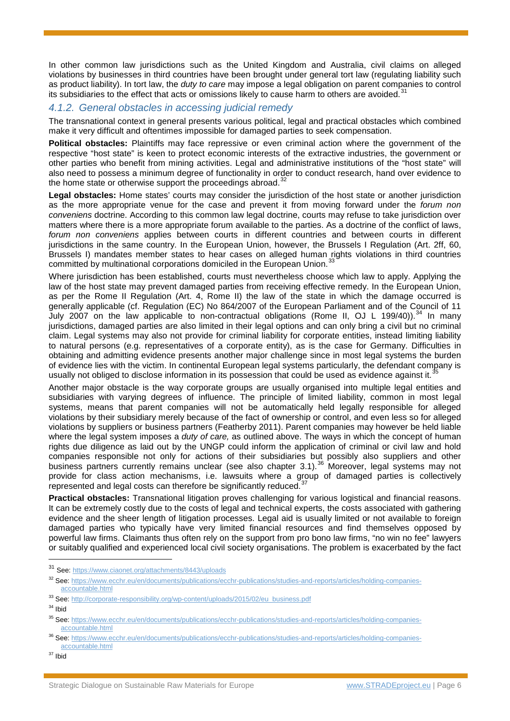In other common law jurisdictions such as the United Kingdom and Australia, civil claims on alleged violations by businesses in third countries have been brought under general tort law (regulating liability such as product liability). In tort law, the *duty to care* may impose a legal obligation on parent companies to control its subsidiaries to the effect that acts or omissions likely to cause harm to others are avoided.<sup>[31](#page-5-0)</sup>

# *4.1.2. General obstacles in accessing judicial remedy*

The transnational context in general presents various political, legal and practical obstacles which combined make it very difficult and oftentimes impossible for damaged parties to seek compensation.

**Political obstacles:** Plaintiffs may face repressive or even criminal action where the government of the respective "host state" is keen to protect economic interests of the extractive industries, the government or other parties who benefit from mining activities. Legal and administrative institutions of the "host state" will also need to possess a minimum degree of functionality in order to conduct research, hand over evidence to the home state or otherwise support the proceedings abroad.<sup>[32](#page-5-1)</sup>

**Legal obstacles:** Home states' courts may consider the jurisdiction of the host state or another jurisdiction as the more appropriate venue for the case and prevent it from moving forward under the *forum non conveniens* doctrine. According to this common law legal doctrine, courts may refuse to take jurisdiction over matters where there is a more appropriate forum available to the parties. As a doctrine of the conflict of laws, *forum non conveniens* applies between courts in different countries and between courts in different jurisdictions in the same country. In the European Union, however, the Brussels I Regulation (Art. 2ff, 60, Brussels I) mandates member states to hear cases on alleged human rights violations in third countries committed by multinational corporations domiciled in the European Union.<sup>[33](#page-5-2)</sup>

Where jurisdiction has been established, courts must nevertheless choose which law to apply. Applying the law of the host state may prevent damaged parties from receiving effective remedy. In the European Union, as per the Rome II Regulation (Art. 4, Rome II) the law of the state in which the damage occurred is generally applicable (cf. Regulation (EC) No 864/2007 of the European Parliament and of the Council of 11 July 2007 on the law applicable to non-contractual obligations (Rome II, OJ L 199/40)).<sup>[34](#page-5-3)</sup> In many jurisdictions, damaged parties are also limited in their legal options and can only bring a civil but no criminal claim. Legal systems may also not provide for criminal liability for corporate entities, instead limiting liability to natural persons (e.g. representatives of a corporate entity), as is the case for Germany. Difficulties in obtaining and admitting evidence presents another major challenge since in most legal systems the burden of evidence lies with the victim. In continental European legal systems particularly, the defendant company is usually not obliged to disclose information in its possession that could be used as evidence against it.<sup>[35](#page-5-4)</sup>

Another major obstacle is the way corporate groups are usually organised into multiple legal entities and subsidiaries with varying degrees of influence. The principle of limited liability, common in most legal systems, means that parent companies will not be automatically held legally responsible for alleged violations by their subsidiary merely because of the fact of ownership or control, and even less so for alleged violations by suppliers or business partners (Featherby 2011). Parent companies may however be held liable where the legal system imposes a *duty of care,* as outlined above. The ways in which the concept of human rights due diligence as laid out by the UNGP could inform the application of criminal or civil law and hold companies responsible not only for actions of their subsidiaries but possibly also suppliers and other business partners currently remains unclear (see also chapter 3.1).<sup>[36](#page-5-5)</sup> Moreover, legal systems may not provide for class action mechanisms, i.e. lawsuits where a group of damaged parties is collectively represented and legal costs can therefore be significantly reduced.<sup>3</sup>

**Practical obstacles:** Transnational litigation proves challenging for various logistical and financial reasons. It can be extremely costly due to the costs of legal and technical experts, the costs associated with gathering evidence and the sheer length of litigation processes. Legal aid is usually limited or not available to foreign damaged parties who typically have very limited financial resources and find themselves opposed by powerful law firms. Claimants thus often rely on the support from pro bono law firms, "no win no fee" lawyers or suitably qualified and experienced local civil society organisations. The problem is exacerbated by the fact

<span id="page-5-3"></span> $34$  Ibid

<span id="page-5-0"></span> <sup>31</sup> See:<https://www.ciaonet.org/attachments/8443/uploads>

<span id="page-5-1"></span><sup>32</sup> See[: https://www.ecchr.eu/en/documents/publications/ecchr-publications/studies-and-reports/articles/holding-companies](https://www.ecchr.eu/en/documents/publications/ecchr-publications/studies-and-reports/articles/holding-companies-accountable.html)[accountable.html](https://www.ecchr.eu/en/documents/publications/ecchr-publications/studies-and-reports/articles/holding-companies-accountable.html)

<span id="page-5-2"></span><sup>33</sup> See[: http://corporate-responsibility.org/wp-content/uploads/2015/02/eu\\_business.pdf](http://corporate-responsibility.org/wp-content/uploads/2015/02/eu_business.pdf)

<span id="page-5-4"></span><sup>35</sup> See[: https://www.ecchr.eu/en/documents/publications/ecchr-publications/studies-and-reports/articles/holding-companies](https://www.ecchr.eu/en/documents/publications/ecchr-publications/studies-and-reports/articles/holding-companies-accountable.html)[accountable.html](https://www.ecchr.eu/en/documents/publications/ecchr-publications/studies-and-reports/articles/holding-companies-accountable.html)

<span id="page-5-5"></span><sup>&</sup>lt;sup>36</sup> See[: https://www.ecchr.eu/en/documents/publications/ecchr-publications/studies-and-reports/articles/holding-companies](https://www.ecchr.eu/en/documents/publications/ecchr-publications/studies-and-reports/articles/holding-companies-accountable.html)[accountable.html](https://www.ecchr.eu/en/documents/publications/ecchr-publications/studies-and-reports/articles/holding-companies-accountable.html)

<span id="page-5-6"></span><sup>37</sup> Ibid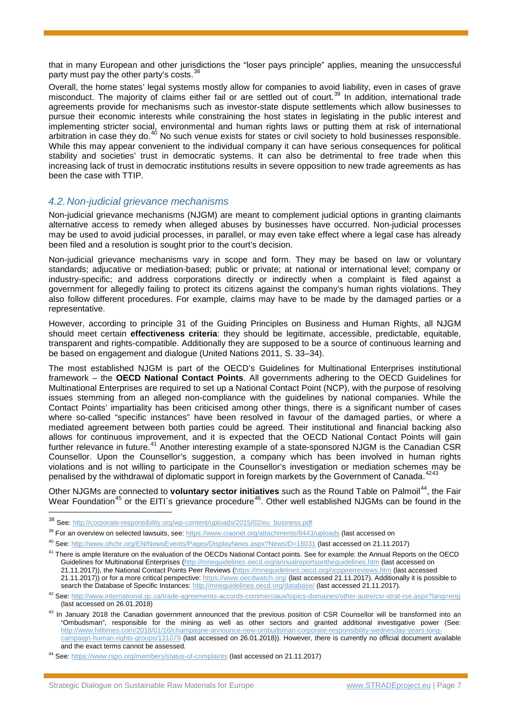that in many European and other jurisdictions the "loser pays principle" applies, meaning the unsuccessful party must pay the other party's costs.<sup>3</sup>

Overall, the home states' legal systems mostly allow for companies to avoid liability, even in cases of grave misconduct. The majority of claims either fail or are settled out of court.<sup>[39](#page-6-1)</sup> In addition, international trade agreements provide for mechanisms such as investor-state dispute settlements which allow businesses to pursue their economic interests while constraining the host states in legislating in the public interest and implementing stricter social, environmental and human rights laws or putting them at risk of international arbitration in case they do.<sup>[40](#page-6-2)</sup> No such venue exists for states or civil society to hold businesses responsible. While this may appear convenient to the individual company it can have serious consequences for political stability and societies' trust in democratic systems. It can also be detrimental to free trade when this increasing lack of trust in democratic institutions results in severe opposition to new trade agreements as has been the case with TTIP.

# *4.2.Non-judicial grievance mechanisms*

Non-judicial grievance mechanisms (NJGM) are meant to complement judicial options in granting claimants alternative access to remedy when alleged abuses by businesses have occurred. Non-judicial processes may be used to avoid judicial processes, in parallel, or may even take effect where a legal case has already been filed and a resolution is sought prior to the court's decision.

Non-judicial grievance mechanisms vary in scope and form. They may be based on law or voluntary standards; adjucative or mediation-based; public or private; at national or international level; company or industry-specific; and address corporations directly or indirectly when a complaint is filed against a government for allegedly failing to protect its citizens against the company's human rights violations. They also follow different procedures. For example, claims may have to be made by the damaged parties or a representative.

However, according to principle 31 of the Guiding Principles on Business and Human Rights, all NJGM should meet certain **effectiveness criteria**: they should be legitimate, accessible, predictable, equitable, transparent and rights-compatible. Additionally they are supposed to be a source of continuous learning and be based on engagement and dialogue (United Nations 2011, S. 33–34).

The most established NJGM is part of the OECD's Guidelines for Multinational Enterprises institutional framework – the **OECD National Contact Points**. All governments adhering to the OECD Guidelines for Multinational Enterprises are required to set up a National Contact Point (NCP), with the purpose of resolving issues stemming from an alleged non-compliance with the guidelines by national companies. While the Contact Points' impartiality has been criticised among other things, there is a significant number of cases where so-called "specific instances" have been resolved in favour of the damaged parties, or where a mediated agreement between both parties could be agreed. Their institutional and financial backing also allows for continuous improvement, and it is expected that the OECD National Contact Points will gain further relevance in future.<sup>[41](#page-6-3)</sup> Another interesting example of a state-sponsored NJGM is the Canadian CSR Counsellor. Upon the Counsellor's suggestion, a company which has been involved in human rights violations and is not willing to participate in the Counsellor's investigation or mediation schemes may be version of diplomatic current of Conservation and the vital and the vital state of the conservation of the conserva penalised by the withdrawal of diplomatic support in foreign markets by the Government of Canada.

Other NJGMs are connected to **voluntary sector initiatives** such as the Round Table on Palmoil<sup>[44](#page-6-6)</sup>, the Fair Wear Foundation<sup>[45](#page-6-7)</sup> or the EITI`s grievance procedure<sup>46</sup>. Other well established NJGMs can be found in the

<span id="page-6-0"></span> <sup>38</sup> See: [http://corporate-responsibility.org/wp-content/uploads/2015/02/eu\\_business.pdf](http://corporate-responsibility.org/wp-content/uploads/2015/02/eu_business.pdf)

<span id="page-6-1"></span><sup>&</sup>lt;sup>39</sup> For an overview on selected lawsuits, see:<https://www.ciaonet.org/attachments/8443/uploads> (last accessed on

<span id="page-6-2"></span><sup>40</sup> See[: http://www.ohchr.org/EN/NewsEvents/Pages/DisplayNews.aspx?NewsID=16031](http://www.ohchr.org/EN/NewsEvents/Pages/DisplayNews.aspx?NewsID=16031) (last accessed on 21.11.2017)

<span id="page-6-3"></span><sup>&</sup>lt;sup>41</sup> There is ample literature on the evaluation of the OECDs National Contact points. See for example: the Annual Reports on the OECD Guidelines for Multinational Enterprises [\(http://mneguidelines.oecd.org/annualreportsontheguidelines.htm](http://mneguidelines.oecd.org/annualreportsontheguidelines.htm) (last accessed on 21.11.2017)), the National Contact Points Peer Reviews [\(https://mneguidelines.oecd.org/ncppeerreviews.htm](https://mneguidelines.oecd.org/ncppeerreviews.htm) (last accessed 21.11.2017)) or for a more critical perspective:<https://www.oecdwatch.org/> (last accessed 21.11.2017). Additionally it is possible to search the Database of Specific Instances:<http://mneguidelines.oecd.org/database/> (last accessed 21.11.2017).

<span id="page-6-8"></span><span id="page-6-7"></span><span id="page-6-4"></span><sup>42</sup> See[: http://www.international.gc.ca/trade-agreements-accords-commerciaux/topics-domaines/other-autre/csr-strat-rse.aspx?lang=eng](http://www.international.gc.ca/trade-agreements-accords-commerciaux/topics-domaines/other-autre/csr-strat-rse.aspx?lang=eng) (last accessed on 26.01.2018)

<span id="page-6-5"></span><sup>&</sup>lt;sup>43</sup> In January 2018 the Canadian government announced that the previous position of CSR Counsellor will be transformed into an "Ombudsman", responsible for the mining as well as other sectors and granted additional investigative power (See: [http://www.hilltimes.com/2018/01/16/champagne-announce-new-ombudsman-corporate-responsibility-wednesday-years-long](http://www.hilltimes.com/2018/01/16/champagne-announce-new-ombudsman-corporate-responsibility-wednesday-years-long-campaign-human-rights-groups/131079)[campaign-human-rights-groups/131079](http://www.hilltimes.com/2018/01/16/champagne-announce-new-ombudsman-corporate-responsibility-wednesday-years-long-campaign-human-rights-groups/131079) (last accessed on 26.01.2018)). However, there is currently no official document available and the exact terms cannot be assessed.

<span id="page-6-6"></span><sup>44</sup> See[: https://www.rspo.org/members/status-of-complaints](https://www.rspo.org/members/status-of-complaints) (last accessed on 21.11.2017)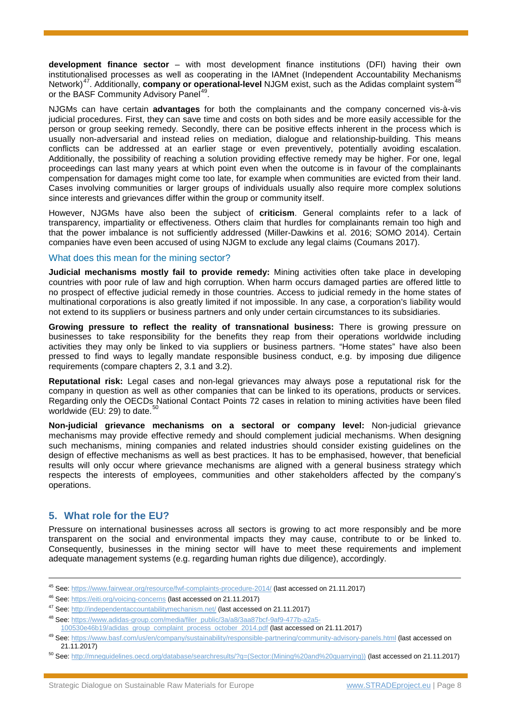**development finance sector** – with most development finance institutions (DFI) having their own institutionalised processes as well as cooperating in the IAMnet (Independent Accountability Mechanisms Network)<sup>47</sup>. Additionally, **company or operational-level** NJGM exist, such as the Adidas complaint system<sup>[48](#page-7-1)</sup> or the BASF Community Advisory Panel<sup>49</sup>.

NJGMs can have certain **advantages** for both the complainants and the company concerned vis-à-vis judicial procedures. First, they can save time and costs on both sides and be more easily accessible for the person or group seeking remedy. Secondly, there can be positive effects inherent in the process which is usually non-adversarial and instead relies on mediation, dialogue and relationship-building. This means conflicts can be addressed at an earlier stage or even preventively, potentially avoiding escalation. Additionally, the possibility of reaching a solution providing effective remedy may be higher. For one, legal proceedings can last many years at which point even when the outcome is in favour of the complainants compensation for damages might come too late, for example when communities are evicted from their land. Cases involving communities or larger groups of individuals usually also require more complex solutions since interests and grievances differ within the group or community itself.

However, NJGMs have also been the subject of **criticism**. General complaints refer to a lack of transparency, impartiality or effectiveness. Others claim that hurdles for complainants remain too high and that the power imbalance is not sufficiently addressed (Miller-Dawkins et al. 2016; SOMO 2014). Certain companies have even been accused of using NJGM to exclude any legal claims (Coumans 2017).

#### What does this mean for the mining sector?

**Judicial mechanisms mostly fail to provide remedy:** Mining activities often take place in developing countries with poor rule of law and high corruption. When harm occurs damaged parties are offered little to no prospect of effective judicial remedy in those countries. Access to judicial remedy in the home states of multinational corporations is also greatly limited if not impossible. In any case, a corporation's liability would not extend to its suppliers or business partners and only under certain circumstances to its subsidiaries.

**Growing pressure to reflect the reality of transnational business:** There is growing pressure on businesses to take responsibility for the benefits they reap from their operations worldwide including activities they may only be linked to via suppliers or business partners. "Home states" have also been pressed to find ways to legally mandate responsible business conduct, e.g. by imposing due diligence requirements (compare chapters 2, 3.1 and 3.2).

**Reputational risk:** Legal cases and non-legal grievances may always pose a reputational risk for the company in question as well as other companies that can be linked to its operations, products or services. Regarding only the OECDs National Contact Points 72 cases in relation to mining activities have been filed worldwide (EU: 29) to date. $50$ 

**Non-judicial grievance mechanisms on a sectoral or company level:** Non-judicial grievance mechanisms may provide effective remedy and should complement judicial mechanisms. When designing such mechanisms, mining companies and related industries should consider existing guidelines on the design of effective mechanisms as well as best practices. It has to be emphasised, however, that beneficial results will only occur where grievance mechanisms are aligned with a general business strategy which respects the interests of employees, communities and other stakeholders affected by the company's operations.

# **5. What role for the EU?**

Pressure on international businesses across all sectors is growing to act more responsibly and be more transparent on the social and environmental impacts they may cause, contribute to or be linked to. Consequently, businesses in the mining sector will have to meet these requirements and implement adequate management systems (e.g. regarding human rights due diligence), accordingly.

 <sup>45</sup> See[: https://www.fairwear.org/resource/fwf-complaints-procedure-2014/](https://www.fairwear.org/resource/fwf-complaints-procedure-2014/) (last accessed on 21.11.2017)

<sup>46</sup> See[: https://eiti.org/voicing-concerns](https://eiti.org/voicing-concerns) (last accessed on 21.11.2017)

<span id="page-7-0"></span><sup>47</sup> See[: http://independentaccountabilitymechanism.net/](http://independentaccountabilitymechanism.net/) (last accessed on 21.11.2017)

<span id="page-7-1"></span><sup>48</sup> See[: https://www.adidas-group.com/media/filer\\_public/3a/a8/3aa87bcf-9af9-477b-a2a5-](https://www.adidas-group.com/media/filer_public/3a/a8/3aa87bcf-9af9-477b-a2a5-100530e46b19/adidas_group_complaint_process_october_2014.pdf) [100530e46b19/adidas\\_group\\_complaint\\_process\\_october\\_2014.pdf](https://www.adidas-group.com/media/filer_public/3a/a8/3aa87bcf-9af9-477b-a2a5-100530e46b19/adidas_group_complaint_process_october_2014.pdf) (last accessed on 21.11.2017)

<span id="page-7-2"></span><sup>&</sup>lt;sup>49</sup> See[: https://www.basf.com/us/en/company/sustainability/responsible-partnering/community-advisory-panels.html](https://www.basf.com/us/en/company/sustainability/responsible-partnering/community-advisory-panels.html) (last accessed on 21.11.2017)

<span id="page-7-3"></span><sup>50</sup> See[: http://mneguidelines.oecd.org/database/searchresults/?q=\(Sector:\(Mining%20and%20quarrying\)\)](http://mneguidelines.oecd.org/database/searchresults/?q=(Sector:(Mining%20and%20quarrying))) (last accessed on 21.11.2017)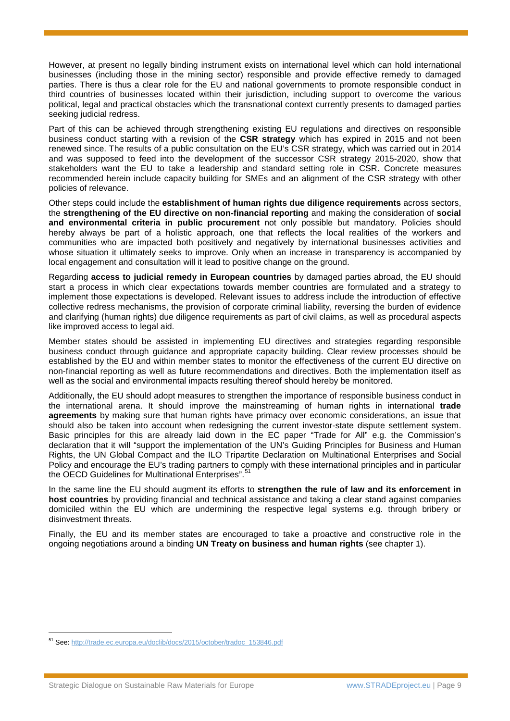However, at present no legally binding instrument exists on international level which can hold international businesses (including those in the mining sector) responsible and provide effective remedy to damaged parties. There is thus a clear role for the EU and national governments to promote responsible conduct in third countries of businesses located within their jurisdiction, including support to overcome the various political, legal and practical obstacles which the transnational context currently presents to damaged parties seeking judicial redress.

Part of this can be achieved through strengthening existing EU regulations and directives on responsible business conduct starting with a revision of the **CSR strategy** which has expired in 2015 and not been renewed since. The results of a public consultation on the EU's CSR strategy, which was carried out in 2014 and was supposed to feed into the development of the successor CSR strategy 2015-2020, show that stakeholders want the EU to take a leadership and standard setting role in CSR. Concrete measures recommended herein include capacity building for SMEs and an alignment of the CSR strategy with other policies of relevance.

Other steps could include the **establishment of human rights due diligence requirements** across sectors, the **strengthening of the EU directive on non-financial reporting** and making the consideration of **social and environmental criteria in public procurement** not only possible but mandatory. Policies should hereby always be part of a holistic approach, one that reflects the local realities of the workers and communities who are impacted both positively and negatively by international businesses activities and whose situation it ultimately seeks to improve. Only when an increase in transparency is accompanied by local engagement and consultation will it lead to positive change on the ground.

Regarding **access to judicial remedy in European countries** by damaged parties abroad, the EU should start a process in which clear expectations towards member countries are formulated and a strategy to implement those expectations is developed. Relevant issues to address include the introduction of effective collective redress mechanisms, the provision of corporate criminal liability, reversing the burden of evidence and clarifying (human rights) due diligence requirements as part of civil claims, as well as procedural aspects like improved access to legal aid.

Member states should be assisted in implementing EU directives and strategies regarding responsible business conduct through guidance and appropriate capacity building. Clear review processes should be established by the EU and within member states to monitor the effectiveness of the current EU directive on non-financial reporting as well as future recommendations and directives. Both the implementation itself as well as the social and environmental impacts resulting thereof should hereby be monitored.

Additionally, the EU should adopt measures to strengthen the importance of responsible business conduct in the international arena. It should improve the mainstreaming of human rights in international **trade agreements** by making sure that human rights have primacy over economic considerations, an issue that should also be taken into account when redesigning the current investor-state dispute settlement system. Basic principles for this are already laid down in the EC paper "Trade for All" e.g. the Commission's declaration that it will "support the implementation of the UN's Guiding Principles for Business and Human Rights, the UN Global Compact and the ILO Tripartite Declaration on Multinational Enterprises and Social Policy and encourage the EU's trading partners to comply with these international principles and in particular the OECD Guidelines for Multinational Enterprises". [51](#page-8-0)

In the same line the EU should augment its efforts to **strengthen the rule of law and its enforcement in host countries** by providing financial and technical assistance and taking a clear stand against companies domiciled within the EU which are undermining the respective legal systems e.g. through bribery or disinvestment threats.

Finally, the EU and its member states are encouraged to take a proactive and constructive role in the ongoing negotiations around a binding **UN Treaty on business and human rights** (see chapter 1).

<span id="page-8-0"></span> <sup>51</sup> See[: http://trade.ec.europa.eu/doclib/docs/2015/october/tradoc\\_153846.pdf](http://trade.ec.europa.eu/doclib/docs/2015/october/tradoc_153846.pdf)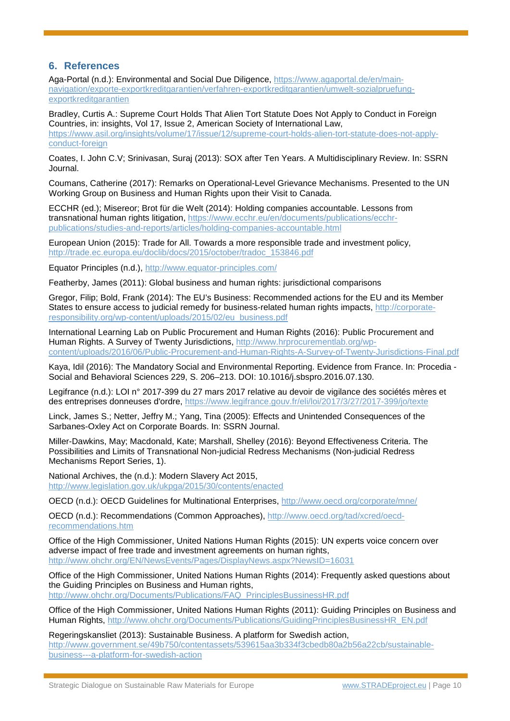# **6. References**

Aga-Portal (n.d.): Environmental and Social Due Diligence, [https://www.agaportal.de/en/main](https://www.agaportal.de/en/main-navigation/exporte-exportkreditgarantien/verfahren-exportkreditgarantien/umwelt-sozialpruefung-exportkreditgarantien)[navigation/exporte-exportkreditgarantien/verfahren-exportkreditgarantien/umwelt-sozialpruefung](https://www.agaportal.de/en/main-navigation/exporte-exportkreditgarantien/verfahren-exportkreditgarantien/umwelt-sozialpruefung-exportkreditgarantien)[exportkreditgarantien](https://www.agaportal.de/en/main-navigation/exporte-exportkreditgarantien/verfahren-exportkreditgarantien/umwelt-sozialpruefung-exportkreditgarantien)

Bradley, Curtis A.: Supreme Court Holds That Alien Tort Statute Does Not Apply to Conduct in Foreign Countries, in: insights, Vol 17, Issue 2, American Society of International Law, [https://www.asil.org/insights/volume/17/issue/12/supreme-court-holds-alien-tort-statute-does-not-apply](https://www.asil.org/insights/volume/17/issue/12/supreme-court-holds-alien-tort-statute-does-not-apply-conduct-foreign)[conduct-foreign](https://www.asil.org/insights/volume/17/issue/12/supreme-court-holds-alien-tort-statute-does-not-apply-conduct-foreign)

Coates, I. John C.V; Srinivasan, Suraj (2013): SOX after Ten Years. A Multidisciplinary Review. In: SSRN Journal.

Coumans, Catherine (2017): Remarks on Operational-Level Grievance Mechanisms. Presented to the UN Working Group on Business and Human Rights upon their Visit to Canada.

ECCHR (ed.); Misereor; Brot für die Welt (2014): Holding companies accountable. Lessons from transnational human rights litigation, [https://www.ecchr.eu/en/documents/publications/ecchr](https://www.ecchr.eu/en/documents/publications/ecchr-publications/studies-and-reports/articles/holding-companies-accountable.html)[publications/studies-and-reports/articles/holding-companies-accountable.html](https://www.ecchr.eu/en/documents/publications/ecchr-publications/studies-and-reports/articles/holding-companies-accountable.html)

European Union (2015): Trade for All. Towards a more responsible trade and investment policy, [http://trade.ec.europa.eu/doclib/docs/2015/october/tradoc\\_153846.pdf](http://trade.ec.europa.eu/doclib/docs/2015/october/tradoc_153846.pdf)

Equator Principles (n.d.),<http://www.equator-principles.com/>

Featherby, James (2011): Global business and human rights: jurisdictional comparisons

Gregor, Filip; Bold, Frank (2014): The EU's Business: Recommended actions for the EU and its Member States to ensure access to judicial remedy for business-related human rights impacts, [http://corporate](http://corporate-responsibility.org/wp-content/uploads/2015/02/eu_business.pdf)[responsibility.org/wp-content/uploads/2015/02/eu\\_business.pdf](http://corporate-responsibility.org/wp-content/uploads/2015/02/eu_business.pdf)

International Learning Lab on Public Procurement and Human Rights (2016): Public Procurement and Human Rights. A Survey of Twenty Jurisdictions, [http://www.hrprocurementlab.org/wp](http://www.hrprocurementlab.org/wp-content/uploads/2016/06/Public-Procurement-and-Human-Rights-A-Survey-of-Twenty-Jurisdictions-Final.pdf)[content/uploads/2016/06/Public-Procurement-and-Human-Rights-A-Survey-of-Twenty-Jurisdictions-Final.pdf](http://www.hrprocurementlab.org/wp-content/uploads/2016/06/Public-Procurement-and-Human-Rights-A-Survey-of-Twenty-Jurisdictions-Final.pdf)

Kaya, Idil (2016): The Mandatory Social and Environmental Reporting. Evidence from France. In: Procedia - Social and Behavioral Sciences 229, S. 206–213. DOI: 10.1016/j.sbspro.2016.07.130.

Legifrance (n.d.): LOI n° 2017-399 du 27 mars 2017 relative au devoir de vigilance des sociétés mères et des entreprises donneuses d'ordre,<https://www.legifrance.gouv.fr/eli/loi/2017/3/27/2017-399/jo/texte>

Linck, James S.; Netter, Jeffry M.; Yang, Tina (2005): Effects and Unintended Consequences of the Sarbanes-Oxley Act on Corporate Boards. In: SSRN Journal.

Miller-Dawkins, May; Macdonald, Kate; Marshall, Shelley (2016): Beyond Effectiveness Criteria. The Possibilities and Limits of Transnational Non-judicial Redress Mechanisms (Non-judicial Redress Mechanisms Report Series, 1).

National Archives, the (n.d.): Modern Slavery Act 2015, <http://www.legislation.gov.uk/ukpga/2015/30/contents/enacted>

OECD (n.d.): OECD Guidelines for Multinational Enterprises,<http://www.oecd.org/corporate/mne/>

OECD (n.d.): Recommendations (Common Approaches), [http://www.oecd.org/tad/xcred/oecd](http://www.oecd.org/tad/xcred/oecd-recommendations.htm)[recommendations.htm](http://www.oecd.org/tad/xcred/oecd-recommendations.htm)

Office of the High Commissioner, United Nations Human Rights (2015): UN experts voice concern over adverse impact of free trade and investment agreements on human rights, <http://www.ohchr.org/EN/NewsEvents/Pages/DisplayNews.aspx?NewsID=16031>

Office of the High Commissioner, United Nations Human Rights (2014): Frequently asked questions about the Guiding Principles on Business and Human rights,

[http://www.ohchr.org/Documents/Publications/FAQ\\_PrinciplesBussinessHR.pdf](http://www.ohchr.org/Documents/Publications/FAQ_PrinciplesBussinessHR.pdf)

Office of the High Commissioner, United Nations Human Rights (2011): Guiding Principles on Business and Human Rights, [http://www.ohchr.org/Documents/Publications/GuidingPrinciplesBusinessHR\\_EN.pdf](http://www.ohchr.org/Documents/Publications/GuidingPrinciplesBusinessHR_EN.pdf)

Regeringskansliet (2013): Sustainable Business. A platform for Swedish action, [http://www.government.se/49b750/contentassets/539615aa3b334f3cbedb80a2b56a22cb/sustainable](http://www.government.se/49b750/contentassets/539615aa3b334f3cbedb80a2b56a22cb/sustainable-business---a-platform-for-swedish-action)[business---a-platform-for-swedish-action](http://www.government.se/49b750/contentassets/539615aa3b334f3cbedb80a2b56a22cb/sustainable-business---a-platform-for-swedish-action)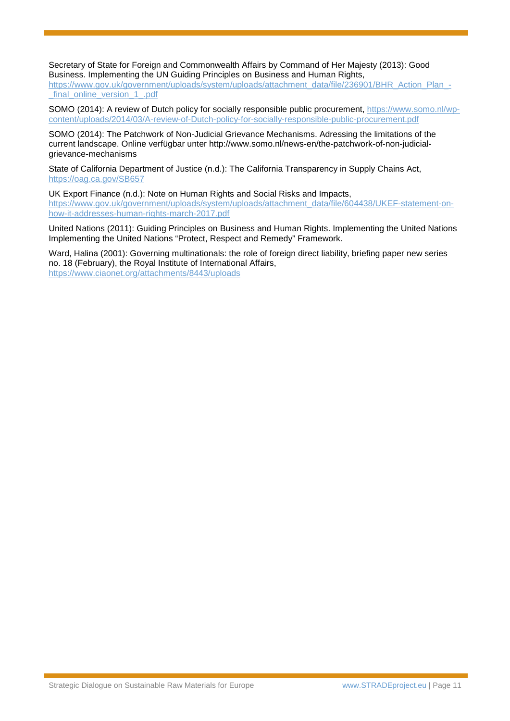Secretary of State for Foreign and Commonwealth Affairs by Command of Her Majesty (2013): Good Business. Implementing the UN Guiding Principles on Business and Human Rights,

[https://www.gov.uk/government/uploads/system/uploads/attachment\\_data/file/236901/BHR\\_Action\\_Plan\\_-](https://www.gov.uk/government/uploads/system/uploads/attachment_data/file/236901/BHR_Action_Plan_-_final_online_version_1_.pdf) [\\_final\\_online\\_version\\_1\\_.pdf](https://www.gov.uk/government/uploads/system/uploads/attachment_data/file/236901/BHR_Action_Plan_-_final_online_version_1_.pdf)

SOMO (2014): A review of Dutch policy for socially responsible public procurement, [https://www.somo.nl/wp](https://www.somo.nl/wp-content/uploads/2014/03/A-review-of-Dutch-policy-for-socially-responsible-public-procurement.pdf)[content/uploads/2014/03/A-review-of-Dutch-policy-for-socially-responsible-public-procurement.pdf](https://www.somo.nl/wp-content/uploads/2014/03/A-review-of-Dutch-policy-for-socially-responsible-public-procurement.pdf)

SOMO (2014): The Patchwork of Non-Judicial Grievance Mechanisms. Adressing the limitations of the current landscape. Online verfügbar unter http://www.somo.nl/news-en/the-patchwork-of-non-judicialgrievance-mechanisms

State of California Department of Justice (n.d.): The California Transparency in Supply Chains Act, <https://oag.ca.gov/SB657>

UK Export Finance (n.d.): Note on Human Rights and Social Risks and Impacts, [https://www.gov.uk/government/uploads/system/uploads/attachment\\_data/file/604438/UKEF-statement-on](https://www.gov.uk/government/uploads/system/uploads/attachment_data/file/604438/UKEF-statement-on-how-it-addresses-human-rights-march-2017.pdf)[how-it-addresses-human-rights-march-2017.pdf](https://www.gov.uk/government/uploads/system/uploads/attachment_data/file/604438/UKEF-statement-on-how-it-addresses-human-rights-march-2017.pdf) 

United Nations (2011): Guiding Principles on Business and Human Rights. Implementing the United Nations Implementing the United Nations "Protect, Respect and Remedy" Framework.

Ward, Halina (2001): Governing multinationals: the role of foreign direct liability, briefing paper new series no. 18 (February), the Royal Institute of International Affairs, <https://www.ciaonet.org/attachments/8443/uploads>